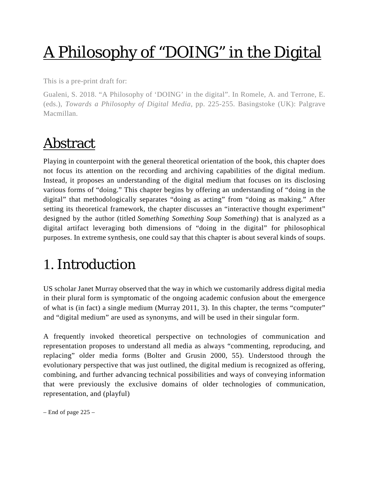# A Philosophy of "DOING" in the Digital

This is a pre-print draft for:

Gualeni, S. 2018. "A Philosophy of 'DOING' in the digital". In Romele, A. and Terrone, E. (eds.), *Towards a Philosophy of Digital Media*, pp. 225-255. Basingstoke (UK): Palgrave Macmillan.

## **Abstract**

Playing in counterpoint with the general theoretical orientation of the book, this chapter does not focus its attention on the recording and archiving capabilities of the digital medium. Instead, it proposes an understanding of the digital medium that focuses on its disclosing various forms of "doing." This chapter begins by offering an understanding of "doing in the digital" that methodologically separates "doing as acting" from "doing as making." After setting its theoretical framework, the chapter discusses an "interactive thought experiment" designed by the author (titled *Something Something Soup Something*) that is analyzed as a digital artifact leveraging both dimensions of "doing in the digital" for philosophical purposes. In extreme synthesis, one could say that this chapter is about several kinds of soups.

# 1. Introduction

US scholar Janet Murray observed that the way in which we customarily address digital media in their plural form is symptomatic of the ongoing academic confusion about the emergence of what is (in fact) a single medium (Murray 2011, 3). In this chapter, the terms "computer" and "digital medium" are used as synonyms, and will be used in their singular form.

A frequently invoked theoretical perspective on technologies of communication and representation proposes to understand all media as always "commenting, reproducing, and replacing" older media forms (Bolter and Grusin 2000, 55). Understood through the evolutionary perspective that was just outlined, the digital medium is recognized as offering, combining, and further advancing technical possibilities and ways of conveying information that were previously the exclusive domains of older technologies of communication, representation, and (playful)

```
- End of page 225 -
```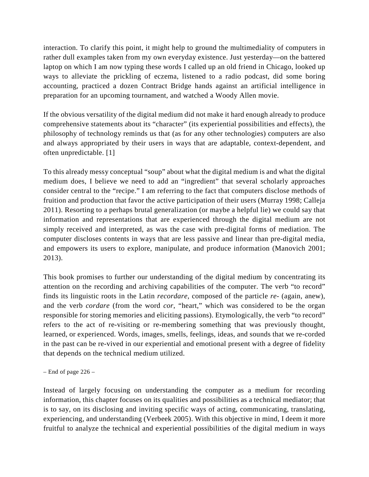interaction. To clarify this point, it might help to ground the multimediality of computers in rather dull examples taken from my own everyday existence. Just yesterday—on the battered laptop on which I am now typing these words I called up an old friend in Chicago, looked up ways to alleviate the prickling of eczema, listened to a radio podcast, did some boring accounting, practiced a dozen Contract Bridge hands against an artificial intelligence in preparation for an upcoming tournament, and watched a Woody Allen movie.

If the obvious versatility of the digital medium did not make it hard enough already to produce comprehensive statements about its "character" (its experiential possibilities and effects), the philosophy of technology reminds us that (as for any other technologies) computers are also and always appropriated by their users in ways that are adaptable, context-dependent, and often unpredictable. [1]

To this already messy conceptual "soup" about what the digital medium is and what the digital medium does, I believe we need to add an "ingredient" that several scholarly approaches consider central to the "recipe." I am referring to the fact that computers disclose methods of fruition and production that favor the active participation of their users (Murray 1998; Calleja 2011). Resorting to a perhaps brutal generalization (or maybe a helpful lie) we could say that information and representations that are experienced through the digital medium are not simply received and interpreted, as was the case with pre-digital forms of mediation. The computer discloses contents in ways that are less passive and linear than pre-digital media, and empowers its users to explore, manipulate, and produce information (Manovich 2001; 2013).

This book promises to further our understanding of the digital medium by concentrating its attention on the recording and archiving capabilities of the computer. The verb "to record" finds its linguistic roots in the Latin *recordare*, composed of the particle *re-* (again, anew), and the verb *cordare* (from the word *cor*, "heart," which was considered to be the organ responsible for storing memories and eliciting passions). Etymologically, the verb "to record" refers to the act of re-visiting or re-membering something that was previously thought, learned, or experienced. Words, images, smells, feelings, ideas, and sounds that we re-corded in the past can be re-vived in our experiential and emotional present with a degree of fidelity that depends on the technical medium utilized.

– End of page  $226$  –

Instead of largely focusing on understanding the computer as a medium for recording information, this chapter focuses on its qualities and possibilities as a technical mediator; that is to say, on its disclosing and inviting specific ways of acting, communicating, translating, experiencing, and understanding (Verbeek 2005). With this objective in mind, I deem it more fruitful to analyze the technical and experiential possibilities of the digital medium in ways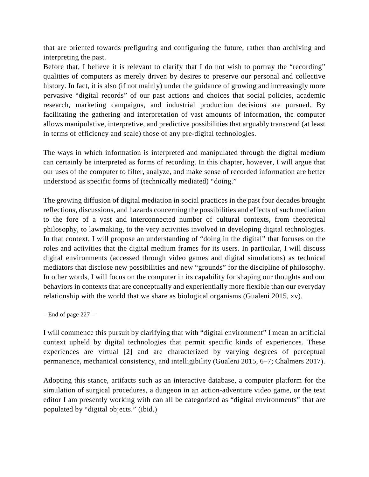that are oriented towards prefiguring and configuring the future, rather than archiving and interpreting the past.

Before that, I believe it is relevant to clarify that I do not wish to portray the "recording" qualities of computers as merely driven by desires to preserve our personal and collective history. In fact, it is also (if not mainly) under the guidance of growing and increasingly more pervasive "digital records" of our past actions and choices that social policies, academic research, marketing campaigns, and industrial production decisions are pursued. By facilitating the gathering and interpretation of vast amounts of information, the computer allows manipulative, interpretive, and predictive possibilities that arguably transcend (at least in terms of efficiency and scale) those of any pre-digital technologies.

The ways in which information is interpreted and manipulated through the digital medium can certainly be interpreted as forms of recording. In this chapter, however, I will argue that our uses of the computer to filter, analyze, and make sense of recorded information are better understood as specific forms of (technically mediated) "doing."

The growing diffusion of digital mediation in social practices in the past four decades brought reflections, discussions, and hazards concerning the possibilities and effects of such mediation to the fore of a vast and interconnected number of cultural contexts, from theoretical philosophy, to lawmaking, to the very activities involved in developing digital technologies. In that context, I will propose an understanding of "doing in the digital" that focuses on the roles and activities that the digital medium frames for its users. In particular, I will discuss digital environments (accessed through video games and digital simulations) as technical mediators that disclose new possibilities and new "grounds" for the discipline of philosophy. In other words, I will focus on the computer in its capability for shaping our thoughts and our behaviors in contexts that are conceptually and experientially more flexible than our everyday relationship with the world that we share as biological organisms (Gualeni 2015, xv).

– End of page 227 –

I will commence this pursuit by clarifying that with "digital environment" I mean an artificial context upheld by digital technologies that permit specific kinds of experiences. These experiences are virtual [2] and are characterized by varying degrees of perceptual permanence, mechanical consistency, and intelligibility (Gualeni 2015, 6–7; Chalmers 2017).

Adopting this stance, artifacts such as an interactive database, a computer platform for the simulation of surgical procedures, a dungeon in an action-adventure video game, or the text editor I am presently working with can all be categorized as "digital environments" that are populated by "digital objects." (ibid.)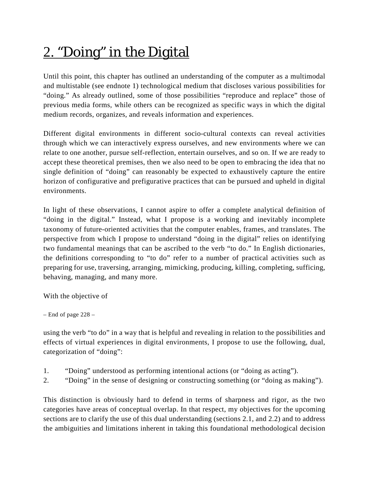# 2. "Doing" in the Digital

Until this point, this chapter has outlined an understanding of the computer as a multimodal and multistable (see endnote 1) technological medium that discloses various possibilities for "doing." As already outlined, some of those possibilities "reproduce and replace" those of previous media forms, while others can be recognized as specific ways in which the digital medium records, organizes, and reveals information and experiences.

Different digital environments in different socio-cultural contexts can reveal activities through which we can interactively express ourselves, and new environments where we can relate to one another, pursue self-reflection, entertain ourselves, and so on. If we are ready to accept these theoretical premises, then we also need to be open to embracing the idea that no single definition of "doing" can reasonably be expected to exhaustively capture the entire horizon of configurative and prefigurative practices that can be pursued and upheld in digital environments.

In light of these observations, I cannot aspire to offer a complete analytical definition of "doing in the digital." Instead, what I propose is a working and inevitably incomplete taxonomy of future-oriented activities that the computer enables, frames, and translates. The perspective from which I propose to understand "doing in the digital" relies on identifying two fundamental meanings that can be ascribed to the verb "to do." In English dictionaries, the definitions corresponding to "to do" refer to a number of practical activities such as preparing for use, traversing, arranging, mimicking, producing, killing, completing, sufficing, behaving, managing, and many more.

With the objective of

– End of page 228 –

using the verb "to do" in a way that is helpful and revealing in relation to the possibilities and effects of virtual experiences in digital environments, I propose to use the following, dual, categorization of "doing":

- 1. "Doing" understood as performing intentional actions (or "doing as acting").
- 2. "Doing" in the sense of designing or constructing something (or "doing as making").

This distinction is obviously hard to defend in terms of sharpness and rigor, as the two categories have areas of conceptual overlap. In that respect, my objectives for the upcoming sections are to clarify the use of this dual understanding (sections 2.1, and 2.2) and to address the ambiguities and limitations inherent in taking this foundational methodological decision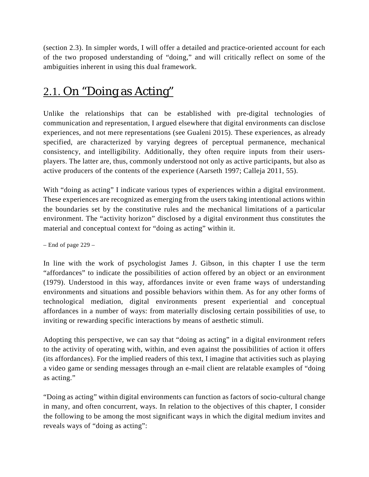(section 2.3). In simpler words, I will offer a detailed and practice-oriented account for each of the two proposed understanding of "doing," and will critically reflect on some of the ambiguities inherent in using this dual framework.

#### 2.1. On "Doing as Acting"

Unlike the relationships that can be established with pre-digital technologies of communication and representation, I argued elsewhere that digital environments can disclose experiences, and not mere representations (see Gualeni 2015). These experiences, as already specified, are characterized by varying degrees of perceptual permanence, mechanical consistency, and intelligibility. Additionally, they often require inputs from their usersplayers. The latter are, thus, commonly understood not only as active participants, but also as active producers of the contents of the experience (Aarseth 1997; Calleja 2011, 55).

With "doing as acting" I indicate various types of experiences within a digital environment. These experiences are recognized as emerging from the users taking intentional actions within the boundaries set by the constitutive rules and the mechanical limitations of a particular environment. The "activity horizon" disclosed by a digital environment thus constitutes the material and conceptual context for "doing as acting" within it.

– End of page 229 –

In line with the work of psychologist James J. Gibson, in this chapter I use the term "affordances" to indicate the possibilities of action offered by an object or an environment (1979). Understood in this way, affordances invite or even frame ways of understanding environments and situations and possible behaviors within them. As for any other forms of technological mediation, digital environments present experiential and conceptual affordances in a number of ways: from materially disclosing certain possibilities of use, to inviting or rewarding specific interactions by means of aesthetic stimuli.

Adopting this perspective, we can say that "doing as acting" in a digital environment refers to the activity of operating with, within, and even against the possibilities of action it offers (its affordances). For the implied readers of this text, I imagine that activities such as playing a video game or sending messages through an e-mail client are relatable examples of "doing as acting."

"Doing as acting" within digital environments can function as factors of socio-cultural change in many, and often concurrent, ways. In relation to the objectives of this chapter, I consider the following to be among the most significant ways in which the digital medium invites and reveals ways of "doing as acting":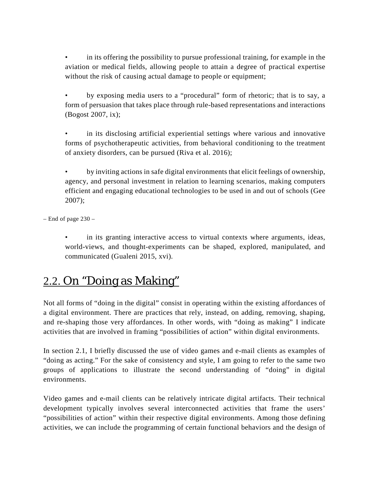• in its offering the possibility to pursue professional training, for example in the aviation or medical fields, allowing people to attain a degree of practical expertise without the risk of causing actual damage to people or equipment;

• by exposing media users to a "procedural" form of rhetoric; that is to say, a form of persuasion that takes place through rule-based representations and interactions (Bogost 2007, ix);

in its disclosing artificial experiential settings where various and innovative forms of psychotherapeutic activities, from behavioral conditioning to the treatment of anxiety disorders, can be pursued (Riva et al. 2016);

• by inviting actions in safe digital environments that elicit feelings of ownership, agency, and personal investment in relation to learning scenarios, making computers efficient and engaging educational technologies to be used in and out of schools (Gee 2007);

– End of page 230 –

in its granting interactive access to virtual contexts where arguments, ideas, world-views, and thought-experiments can be shaped, explored, manipulated, and communicated (Gualeni 2015, xvi).

#### 2.2. On "Doing as Making"

Not all forms of "doing in the digital" consist in operating within the existing affordances of a digital environment. There are practices that rely, instead, on adding, removing, shaping, and re-shaping those very affordances. In other words, with "doing as making" I indicate activities that are involved in framing "possibilities of action" within digital environments.

In section 2.1, I briefly discussed the use of video games and e-mail clients as examples of "doing as acting." For the sake of consistency and style, I am going to refer to the same two groups of applications to illustrate the second understanding of "doing" in digital environments.

Video games and e-mail clients can be relatively intricate digital artifacts. Their technical development typically involves several interconnected activities that frame the users' "possibilities of action" within their respective digital environments. Among those defining activities, we can include the programming of certain functional behaviors and the design of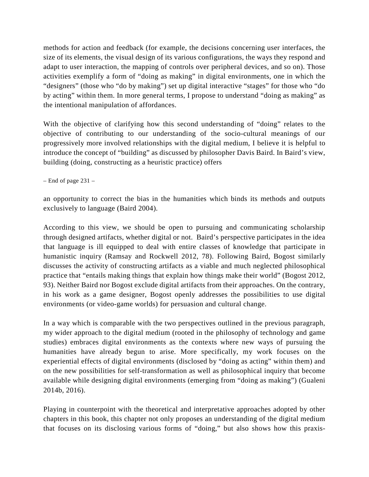methods for action and feedback (for example, the decisions concerning user interfaces, the size of its elements, the visual design of its various configurations, the ways they respond and adapt to user interaction, the mapping of controls over peripheral devices, and so on). Those activities exemplify a form of "doing as making" in digital environments, one in which the "designers" (those who "do by making") set up digital interactive "stages" for those who "do by acting" within them. In more general terms, I propose to understand "doing as making" as the intentional manipulation of affordances.

With the objective of clarifying how this second understanding of "doing" relates to the objective of contributing to our understanding of the socio-cultural meanings of our progressively more involved relationships with the digital medium, I believe it is helpful to introduce the concept of "building" as discussed by philosopher Davis Baird. In Baird's view, building (doing, constructing as a heuristic practice) offers

– End of page 231 –

an opportunity to correct the bias in the humanities which binds its methods and outputs exclusively to language (Baird 2004).

According to this view, we should be open to pursuing and communicating scholarship through designed artifacts, whether digital or not. Baird's perspective participates in the idea that language is ill equipped to deal with entire classes of knowledge that participate in humanistic inquiry (Ramsay and Rockwell 2012, 78). Following Baird, Bogost similarly discusses the activity of constructing artifacts as a viable and much neglected philosophical practice that "entails making things that explain how things make their world" (Bogost 2012, 93). Neither Baird nor Bogost exclude digital artifacts from their approaches. On the contrary, in his work as a game designer, Bogost openly addresses the possibilities to use digital environments (or video-game worlds) for persuasion and cultural change.

In a way which is comparable with the two perspectives outlined in the previous paragraph, my wider approach to the digital medium (rooted in the philosophy of technology and game studies) embraces digital environments as the contexts where new ways of pursuing the humanities have already begun to arise. More specifically, my work focuses on the experiential effects of digital environments (disclosed by "doing as acting" within them) and on the new possibilities for self-transformation as well as philosophical inquiry that become available while designing digital environments (emerging from "doing as making") (Gualeni 2014b, 2016).

Playing in counterpoint with the theoretical and interpretative approaches adopted by other chapters in this book, this chapter not only proposes an understanding of the digital medium that focuses on its disclosing various forms of "doing," but also shows how this praxis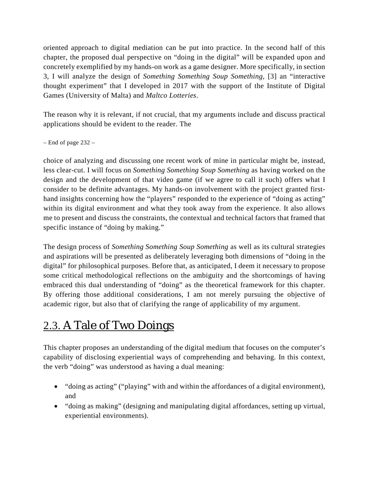oriented approach to digital mediation can be put into practice. In the second half of this chapter, the proposed dual perspective on "doing in the digital" will be expanded upon and concretely exemplified by my hands-on work as a game designer. More specifically, in section 3, I will analyze the design of *Something Something Soup Something*, [3] an "interactive thought experiment" that I developed in 2017 with the support of the Institute of Digital Games (University of Malta) and *Maltco Lotteries*.

The reason why it is relevant, if not crucial, that my arguments include and discuss practical applications should be evident to the reader. The

– End of page 232 –

choice of analyzing and discussing one recent work of mine in particular might be, instead, less clear-cut. I will focus on *Something Something Soup Something* as having worked on the design and the development of that video game (if we agree to call it such) offers what I consider to be definite advantages. My hands-on involvement with the project granted firsthand insights concerning how the "players" responded to the experience of "doing as acting" within its digital environment and what they took away from the experience. It also allows me to present and discuss the constraints, the contextual and technical factors that framed that specific instance of "doing by making."

The design process of *Something Something Soup Something* as well as its cultural strategies and aspirations will be presented as deliberately leveraging both dimensions of "doing in the digital" for philosophical purposes. Before that, as anticipated, I deem it necessary to propose some critical methodological reflections on the ambiguity and the shortcomings of having embraced this dual understanding of "doing" as the theoretical framework for this chapter. By offering those additional considerations, I am not merely pursuing the objective of academic rigor, but also that of clarifying the range of applicability of my argument.

#### 2.3. A Tale of Two Doings

This chapter proposes an understanding of the digital medium that focuses on the computer's capability of disclosing experiential ways of comprehending and behaving. In this context, the verb "doing" was understood as having a dual meaning:

- "doing as acting" ("playing" with and within the affordances of a digital environment), and
- "doing as making" (designing and manipulating digital affordances, setting up virtual, experiential environments).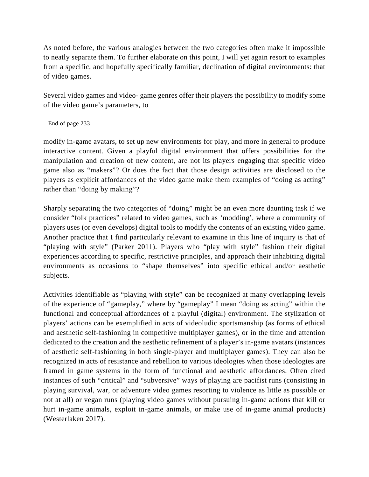As noted before, the various analogies between the two categories often make it impossible to neatly separate them. To further elaborate on this point, I will yet again resort to examples from a specific, and hopefully specifically familiar, declination of digital environments: that of video games.

Several video games and video- game genres offer their players the possibility to modify some of the video game's parameters, to

```
- End of page 233 -
```
modify in-game avatars, to set up new environments for play, and more in general to produce interactive content. Given a playful digital environment that offers possibilities for the manipulation and creation of new content, are not its players engaging that specific video game also as "makers"? Or does the fact that those design activities are disclosed to the players as explicit affordances of the video game make them examples of "doing as acting" rather than "doing by making"?

Sharply separating the two categories of "doing" might be an even more daunting task if we consider "folk practices" related to video games, such as 'modding', where a community of players uses (or even develops) digital tools to modify the contents of an existing video game. Another practice that I find particularly relevant to examine in this line of inquiry is that of "playing with style" (Parker 2011). Players who "play with style" fashion their digital experiences according to specific, restrictive principles, and approach their inhabiting digital environments as occasions to "shape themselves" into specific ethical and/or aesthetic subjects.

Activities identifiable as "playing with style" can be recognized at many overlapping levels of the experience of "gameplay," where by "gameplay" I mean "doing as acting" within the functional and conceptual affordances of a playful (digital) environment. The stylization of players' actions can be exemplified in acts of videoludic sportsmanship (as forms of ethical and aesthetic self-fashioning in competitive multiplayer games), or in the time and attention dedicated to the creation and the aesthetic refinement of a player's in-game avatars (instances of aesthetic self-fashioning in both single-player and multiplayer games). They can also be recognized in acts of resistance and rebellion to various ideologies when those ideologies are framed in game systems in the form of functional and aesthetic affordances. Often cited instances of such "critical" and "subversive" ways of playing are pacifist runs (consisting in playing survival, war, or adventure video games resorting to violence as little as possible or not at all) or vegan runs (playing video games without pursuing in-game actions that kill or hurt in-game animals, exploit in-game animals, or make use of in-game animal products) (Westerlaken 2017).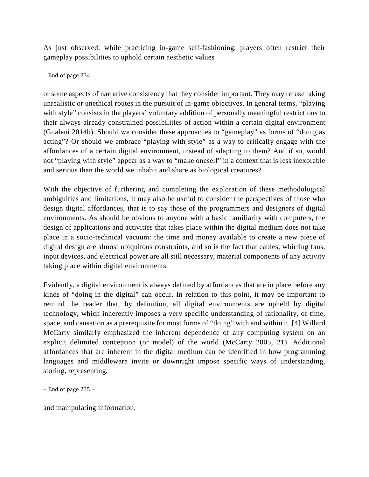As just observed, while practicing in-game self-fashioning, players often restrict their gameplay possibilities to uphold certain aesthetic values

 $-$  End of page 234  $-$ 

or some aspects of narrative consistency that they consider important. They may refuse taking unrealistic or unethical routes in the pursuit of in-game objectives. In general terms, "playing with style" consists in the players' voluntary addition of personally meaningful restrictions to their always-already constrained possibilities of action within a certain digital environment (Gualeni 2014b). Should we consider these approaches to "gameplay" as forms of "doing as acting"? Or should we embrace "playing with style" as a way to critically engage with the affordances of a certain digital environment, instead of adapting to them? And if so, would not "playing with style" appear as a way to "make oneself" in a context that is less inexorable and serious than the world we inhabit and share as biological creatures?

With the objective of furthering and completing the exploration of these methodological ambiguities and limitations, it may also be useful to consider the perspectives of those who design digital affordances, that is to say those of the programmers and designers of digital environments. As should be obvious to anyone with a basic familiarity with computers, the design of applications and activities that takes place within the digital medium does not take place in a socio-technical vacuum: the time and money available to create a new piece of digital design are almost ubiquitous constraints, and so is the fact that cables, whirring fans, input devices, and electrical power are all still necessary, material components of any activity taking place within digital environments.

Evidently, a digital environment is always defined by affordances that are in place before any kinds of "doing in the digital" can occur. In relation to this point, it may be important to remind the reader that, by definition, all digital environments are upheld by digital technology, which inherently imposes a very specific understanding of rationality, of time, space, and causation as a prerequisite for most forms of "doing" with and within it. [4] Willard McCarty similarly emphasized the inherent dependence of any computing system on an explicit delimited conception (or model) of the world (McCarty 2005, 21). Additional affordances that are inherent in the digital medium can be identified in how programming languages and middleware invite or downright impose specific ways of understanding, storing, representing,

– End of page  $235$  –

and manipulating information.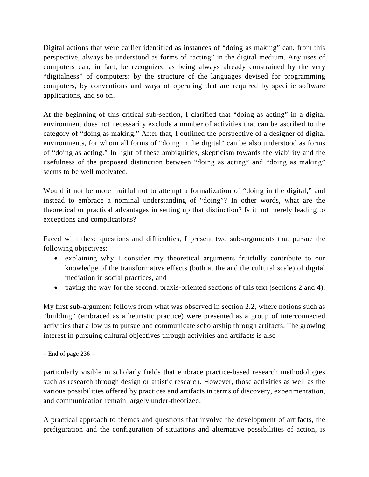Digital actions that were earlier identified as instances of "doing as making" can, from this perspective, always be understood as forms of "acting" in the digital medium. Any uses of computers can, in fact, be recognized as being always already constrained by the very "digitalness" of computers: by the structure of the languages devised for programming computers, by conventions and ways of operating that are required by specific software applications, and so on.

At the beginning of this critical sub-section, I clarified that "doing as acting" in a digital environment does not necessarily exclude a number of activities that can be ascribed to the category of "doing as making." After that, I outlined the perspective of a designer of digital environments, for whom all forms of "doing in the digital" can be also understood as forms of "doing as acting." In light of these ambiguities, skepticism towards the viability and the usefulness of the proposed distinction between "doing as acting" and "doing as making" seems to be well motivated.

Would it not be more fruitful not to attempt a formalization of "doing in the digital," and instead to embrace a nominal understanding of "doing"? In other words, what are the theoretical or practical advantages in setting up that distinction? Is it not merely leading to exceptions and complications?

Faced with these questions and difficulties, I present two sub-arguments that pursue the following objectives:

- explaining why I consider my theoretical arguments fruitfully contribute to our knowledge of the transformative effects (both at the and the cultural scale) of digital mediation in social practices, and
- paving the way for the second, praxis-oriented sections of this text (sections 2 and 4).

My first sub-argument follows from what was observed in section 2.2, where notions such as "building" (embraced as a heuristic practice) were presented as a group of interconnected activities that allow us to pursue and communicate scholarship through artifacts. The growing interest in pursuing cultural objectives through activities and artifacts is also

```
– End of page 236 –
```
particularly visible in scholarly fields that embrace practice-based research methodologies such as research through design or artistic research. However, those activities as well as the various possibilities offered by practices and artifacts in terms of discovery, experimentation, and communication remain largely under-theorized.

A practical approach to themes and questions that involve the development of artifacts, the prefiguration and the configuration of situations and alternative possibilities of action, is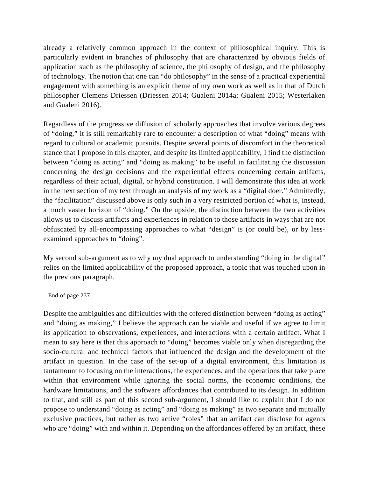already a relatively common approach in the context of philosophical inquiry. This is particularly evident in branches of philosophy that are characterized by obvious fields of application such as the philosophy of science, the philosophy of design, and the philosophy of technology. The notion that one can "do philosophy" in the sense of a practical experiential engagement with something is an explicit theme of my own work as well as in that of Dutch philosopher Clemens Driessen (Driessen 2014; Gualeni 2014a; Gualeni 2015; Westerlaken and Gualeni 2016).

Regardless of the progressive diffusion of scholarly approaches that involve various degrees of "doing," it is still remarkably rare to encounter a description of what "doing" means with regard to cultural or academic pursuits. Despite several points of discomfort in the theoretical stance that I propose in this chapter, and despite its limited applicability, I find the distinction between "doing as acting" and "doing as making" to be useful in facilitating the discussion concerning the design decisions and the experiential effects concerning certain artifacts, regardless of their actual, digital, or hybrid constitution. I will demonstrate this idea at work in the next section of my text through an analysis of my work as a "digital doer." Admittedly, the "facilitation" discussed above is only such in a very restricted portion of what is, instead, a much vaster horizon of "doing." On the upside, the distinction between the two activities allows us to discuss artifacts and experiences in relation to those artifacts in ways that are not obfuscated by all-encompassing approaches to what "design" is (or could be), or by lessexamined approaches to "doing".

My second sub-argument as to why my dual approach to understanding "doing in the digital" relies on the limited applicability of the proposed approach, a topic that was touched upon in the previous paragraph.

 $-$  End of page 237  $-$ 

Despite the ambiguities and difficulties with the offered distinction between "doing as acting" and "doing as making," I believe the approach can be viable and useful if we agree to limit its application to observations, experiences, and interactions with a certain artifact. What I mean to say here is that this approach to "doing" becomes viable only when disregarding the socio-cultural and technical factors that influenced the design and the development of the artifact in question. In the case of the set-up of a digital environment, this limitation is tantamount to focusing on the interactions, the experiences, and the operations that take place within that environment while ignoring the social norms, the economic conditions, the hardware limitations, and the software affordances that contributed to its design. In addition to that, and still as part of this second sub-argument, I should like to explain that I do not propose to understand "doing as acting" and "doing as making" as two separate and mutually exclusive practices, but rather as two active "roles" that an artifact can disclose for agents who are "doing" with and within it. Depending on the affordances offered by an artifact, these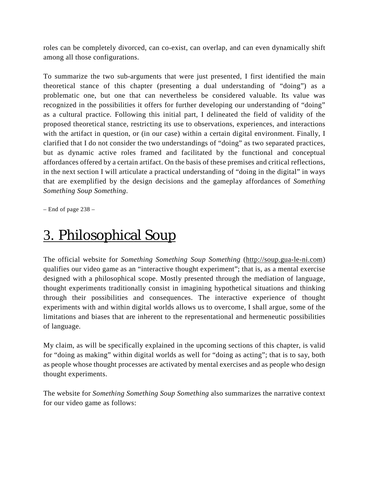roles can be completely divorced, can co-exist, can overlap, and can even dynamically shift among all those configurations.

To summarize the two sub-arguments that were just presented, I first identified the main theoretical stance of this chapter (presenting a dual understanding of "doing") as a problematic one, but one that can nevertheless be considered valuable. Its value was recognized in the possibilities it offers for further developing our understanding of "doing" as a cultural practice. Following this initial part, I delineated the field of validity of the proposed theoretical stance, restricting its use to observations, experiences, and interactions with the artifact in question, or (in our case) within a certain digital environment. Finally, I clarified that I do not consider the two understandings of "doing" as two separated practices, but as dynamic active roles framed and facilitated by the functional and conceptual affordances offered by a certain artifact. On the basis of these premises and critical reflections, in the next section I will articulate a practical understanding of "doing in the digital" in ways that are exemplified by the design decisions and the gameplay affordances of *Something Something Soup Something*.

 $-$  End of page 238  $-$ 

## 3. Philosophical Soup

The official website for *Something Something Soup Something* [\(http://soup.gua-le-ni.com\)](http://soup.gua-le-ni.com/) qualifies our video game as an "interactive thought experiment"; that is, as a mental exercise designed with a philosophical scope. Mostly presented through the mediation of language, thought experiments traditionally consist in imagining hypothetical situations and thinking through their possibilities and consequences. The interactive experience of thought experiments with and within digital worlds allows us to overcome, I shall argue, some of the limitations and biases that are inherent to the representational and hermeneutic possibilities of language.

My claim, as will be specifically explained in the upcoming sections of this chapter, is valid for "doing as making" within digital worlds as well for "doing as acting"; that is to say, both as people whose thought processes are activated by mental exercises and as people who design thought experiments.

The website for *Something Something Soup Something* also summarizes the narrative context for our video game as follows: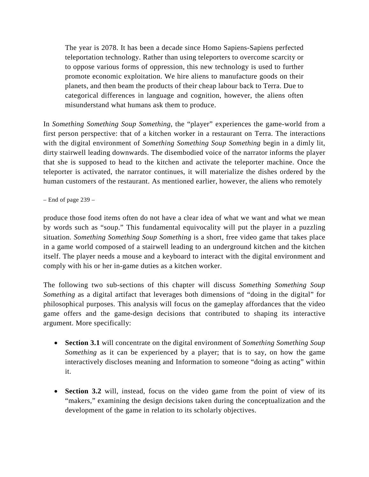The year is 2078. It has been a decade since Homo Sapiens-Sapiens perfected teleportation technology. Rather than using teleporters to overcome scarcity or to oppose various forms of oppression, this new technology is used to further promote economic exploitation. We hire aliens to manufacture goods on their planets, and then beam the products of their cheap labour back to Terra. Due to categorical differences in language and cognition, however, the aliens often misunderstand what humans ask them to produce.

In *Something Something Soup Something*, the "player" experiences the game-world from a first person perspective: that of a kitchen worker in a restaurant on Terra. The interactions with the digital environment of *Something Something Soup Something* begin in a dimly lit, dirty stairwell leading downwards. The disembodied voice of the narrator informs the player that she is supposed to head to the kitchen and activate the teleporter machine. Once the teleporter is activated, the narrator continues, it will materialize the dishes ordered by the human customers of the restaurant. As mentioned earlier, however, the aliens who remotely

 $-$  End of page 239  $-$ 

produce those food items often do not have a clear idea of what we want and what we mean by words such as "soup." This fundamental equivocality will put the player in a puzzling situation. *Something Something Soup Something* is a short, free video game that takes place in a game world composed of a stairwell leading to an underground kitchen and the kitchen itself. The player needs a mouse and a keyboard to interact with the digital environment and comply with his or her in-game duties as a kitchen worker.

The following two sub-sections of this chapter will discuss *Something Something Soup Something* as a digital artifact that leverages both dimensions of "doing in the digital" for philosophical purposes. This analysis will focus on the gameplay affordances that the video game offers and the game-design decisions that contributed to shaping its interactive argument. More specifically:

- **Section 3.1** will concentrate on the digital environment of *Something Something Soup Something* as it can be experienced by a player; that is to say, on how the game interactively discloses meaning and Information to someone "doing as acting" within it.
- **Section 3.2** will, instead, focus on the video game from the point of view of its "makers," examining the design decisions taken during the conceptualization and the development of the game in relation to its scholarly objectives.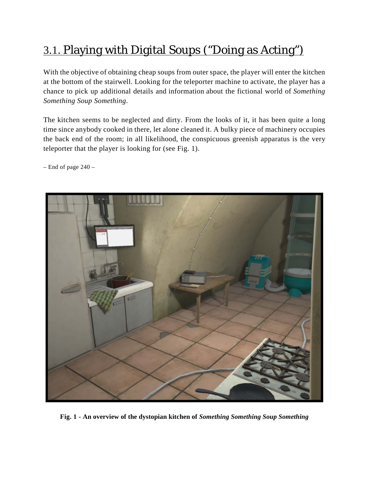#### 3.1. Playing with Digital Soups ("Doing as Acting")

With the objective of obtaining cheap soups from outer space, the player will enter the kitchen at the bottom of the stairwell. Looking for the teleporter machine to activate, the player has a chance to pick up additional details and information about the fictional world of *Something Something Soup Something*.

The kitchen seems to be neglected and dirty. From the looks of it, it has been quite a long time since anybody cooked in there, let alone cleaned it. A bulky piece of machinery occupies the back end of the room; in all likelihood, the conspicuous greenish apparatus is the very teleporter that the player is looking for (see Fig. 1).

– End of page 240 –



**Fig. 1 - An overview of the dystopian kitchen of** *Something Something Soup Something*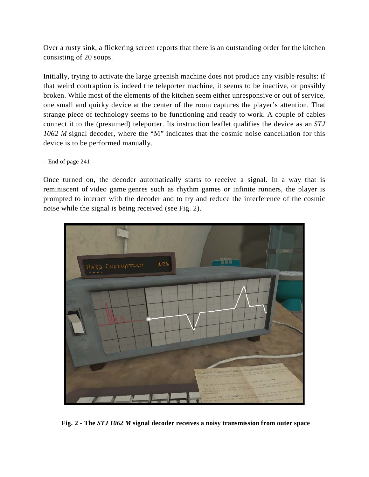Over a rusty sink, a flickering screen reports that there is an outstanding order for the kitchen consisting of 20 soups.

Initially, trying to activate the large greenish machine does not produce any visible results: if that weird contraption is indeed the teleporter machine, it seems to be inactive, or possibly broken. While most of the elements of the kitchen seem either unresponsive or out of service, one small and quirky device at the center of the room captures the player's attention. That strange piece of technology seems to be functioning and ready to work. A couple of cables connect it to the (presumed) teleporter. Its instruction leaflet qualifies the device as an *STJ 1062 M* signal decoder, where the "M" indicates that the cosmic noise cancellation for this device is to be performed manually.

– End of page 241 –

Once turned on, the decoder automatically starts to receive a signal. In a way that is reminiscent of video game genres such as rhythm games or infinite runners, the player is prompted to interact with the decoder and to try and reduce the interference of the cosmic noise while the signal is being received (see Fig. 2).



**Fig. 2 - The** *STJ 1062 M* **signal decoder receives a noisy transmission from outer space**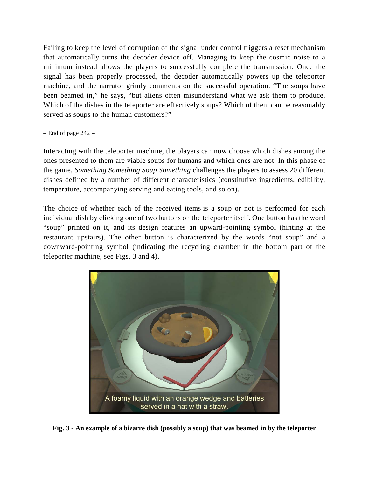Failing to keep the level of corruption of the signal under control triggers a reset mechanism that automatically turns the decoder device off. Managing to keep the cosmic noise to a minimum instead allows the players to successfully complete the transmission. Once the signal has been properly processed, the decoder automatically powers up the teleporter machine, and the narrator grimly comments on the successful operation. "The soups have been beamed in," he says, "but aliens often misunderstand what we ask them to produce. Which of the dishes in the teleporter are effectively soups? Which of them can be reasonably served as soups to the human customers?"

 $-$  End of page 242  $-$ 

Interacting with the teleporter machine, the players can now choose which dishes among the ones presented to them are viable soups for humans and which ones are not. In this phase of the game, *Something Something Soup Something* challenges the players to assess 20 different dishes defined by a number of different characteristics (constitutive ingredients, edibility, temperature, accompanying serving and eating tools, and so on).

The choice of whether each of the received items is a soup or not is performed for each individual dish by clicking one of two buttons on the teleporter itself. One button has the word "soup" printed on it, and its design features an upward-pointing symbol (hinting at the restaurant upstairs). The other button is characterized by the words "not soup" and a downward-pointing symbol (indicating the recycling chamber in the bottom part of the teleporter machine, see Figs. 3 and 4).



**Fig. 3 - An example of a bizarre dish (possibly a soup) that was beamed in by the teleporter**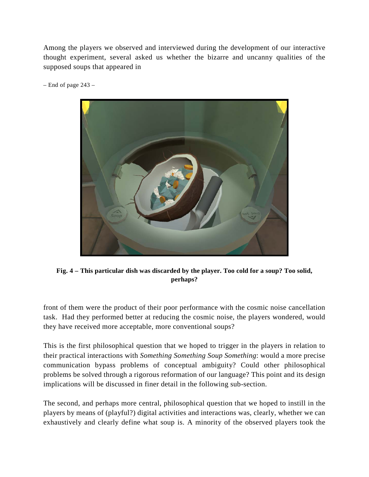Among the players we observed and interviewed during the development of our interactive thought experiment, several asked us whether the bizarre and uncanny qualities of the supposed soups that appeared in



– End of page 243 –

**Fig. 4 – This particular dish was discarded by the player. Too cold for a soup? Too solid, perhaps?**

front of them were the product of their poor performance with the cosmic noise cancellation task. Had they performed better at reducing the cosmic noise, the players wondered, would they have received more acceptable, more conventional soups?

This is the first philosophical question that we hoped to trigger in the players in relation to their practical interactions with *Something Something Soup Something*: would a more precise communication bypass problems of conceptual ambiguity? Could other philosophical problems be solved through a rigorous reformation of our language? This point and its design implications will be discussed in finer detail in the following sub-section.

The second, and perhaps more central, philosophical question that we hoped to instill in the players by means of (playful?) digital activities and interactions was, clearly, whether we can exhaustively and clearly define what soup is. A minority of the observed players took the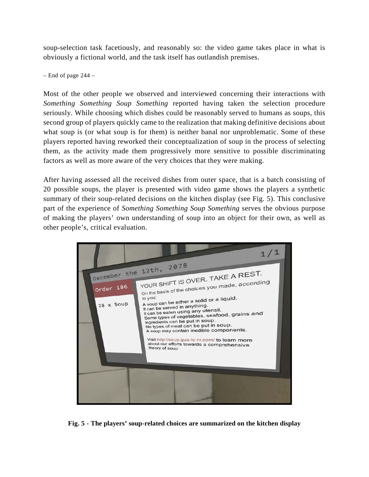soup-selection task facetiously, and reasonably so: the video game takes place in what is obviously a fictional world, and the task itself has outlandish premises.

– End of page 244 –

Most of the other people we observed and interviewed concerning their interactions with *Something Something Soup Something* reported having taken the selection procedure seriously. While choosing which dishes could be reasonably served to humans as soups, this second group of players quickly came to the realization that making definitive decisions about what soup is (or what soup is for them) is neither banal nor unproblematic. Some of these players reported having reworked their conceptualization of soup in the process of selecting them, as the activity made them progressively more sensitive to possible discriminating factors as well as more aware of the very choices that they were making.

After having assessed all the received dishes from outer space, that is a batch consisting of 20 possible soups, the player is presented with video game shows the players a synthetic summary of their soup-related decisions on the kitchen display (see Fig. 5). This conclusive part of the experience of *Something Something Soup Something* serves the obvious purpose of making the players' own understanding of soup into an object for their own, as well as other people's, critical evaluation.



**Fig. 5 - The players' soup-related choices are summarized on the kitchen display**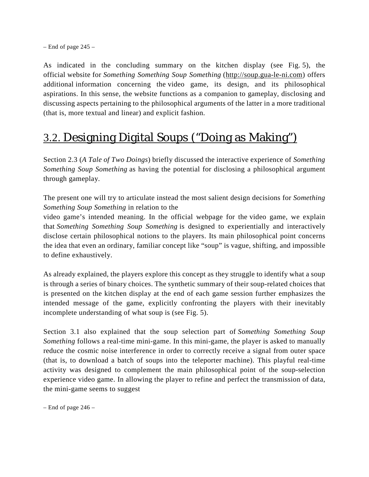– End of page 245 –

As indicated in the concluding summary on the kitchen display (see Fig. 5), the official website for *Something Something Soup Something* [\(http://soup.gua-le-ni.com\)](http://soup.gua-le-ni.com/) offers additional information concerning the video game, its design, and its philosophical aspirations. In this sense, the website functions as a companion to gameplay, disclosing and discussing aspects pertaining to the philosophical arguments of the latter in a more traditional (that is, more textual and linear) and explicit fashion.

#### 3.2. Designing Digital Soups ("Doing as Making")

Section 2.3 (*A Tale of Two Doings*) briefly discussed the interactive experience of *Something Something Soup Something* as having the potential for disclosing a philosophical argument through gameplay.

The present one will try to articulate instead the most salient design decisions for *Something Something Soup Something* in relation to the

video game's intended meaning. In the official webpage for the video game, we explain that *Something Something Soup Something* is designed to experientially and interactively disclose certain philosophical notions to the players. Its main philosophical point concerns the idea that even an ordinary, familiar concept like "soup" is vague, shifting, and impossible to define exhaustively.

As already explained, the players explore this concept as they struggle to identify what a soup is through a series of binary choices. The synthetic summary of their soup-related choices that is presented on the kitchen display at the end of each game session further emphasizes the intended message of the game, explicitly confronting the players with their inevitably incomplete understanding of what soup is (see Fig. 5).

Section 3.1 also explained that the soup selection part of *Something Something Soup Something* follows a real-time mini-game. In this mini-game, the player is asked to manually reduce the cosmic noise interference in order to correctly receive a signal from outer space (that is, to download a batch of soups into the teleporter machine). This playful real-time activity was designed to complement the main philosophical point of the soup-selection experience video game. In allowing the player to refine and perfect the transmission of data, the mini-game seems to suggest

– End of page 246 –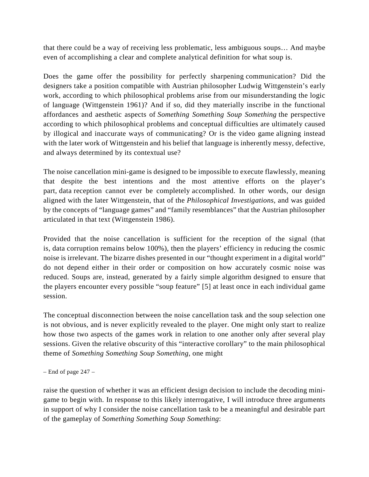that there could be a way of receiving less problematic, less ambiguous soups… And maybe even of accomplishing a clear and complete analytical definition for what soup is.

Does the game offer the possibility for perfectly sharpening communication? Did the designers take a position compatible with Austrian philosopher Ludwig Wittgenstein's early work, according to which philosophical problems arise from our misunderstanding the logic of language (Wittgenstein 1961)? And if so, did they materially inscribe in the functional affordances and aesthetic aspects of *Something Something Soup Something* the perspective according to which philosophical problems and conceptual difficulties are ultimately caused by illogical and inaccurate ways of communicating? Or is the video game aligning instead with the later work of Wittgenstein and his belief that language is inherently messy, defective, and always determined by its contextual use?

The noise cancellation mini-game is designed to be impossible to execute flawlessly, meaning that despite the best intentions and the most attentive efforts on the player's part, data reception cannot ever be completely accomplished. In other words, our design aligned with the later Wittgenstein, that of the *Philosophical Investigations*, and was guided by the concepts of "language games" and "family resemblances" that the Austrian philosopher articulated in that text (Wittgenstein 1986).

Provided that the noise cancellation is sufficient for the reception of the signal (that is, data corruption remains below 100%), then the players' efficiency in reducing the cosmic noise is irrelevant. The bizarre dishes presented in our "thought experiment in a digital world" do not depend either in their order or composition on how accurately cosmic noise was reduced. Soups are, instead, generated by a fairly simple algorithm designed to ensure that the players encounter every possible "soup feature" [5] at least once in each individual game session.

The conceptual disconnection between the noise cancellation task and the soup selection one is not obvious, and is never explicitly revealed to the player. One might only start to realize how those two aspects of the games work in relation to one another only after several play sessions. Given the relative obscurity of this "interactive corollary" to the main philosophical theme of *Something Something Soup Something*, one might

– End of page  $247$  –

raise the question of whether it was an efficient design decision to include the decoding minigame to begin with. In response to this likely interrogative, I will introduce three arguments in support of why I consider the noise cancellation task to be a meaningful and desirable part of the gameplay of *Something Something Soup Something*: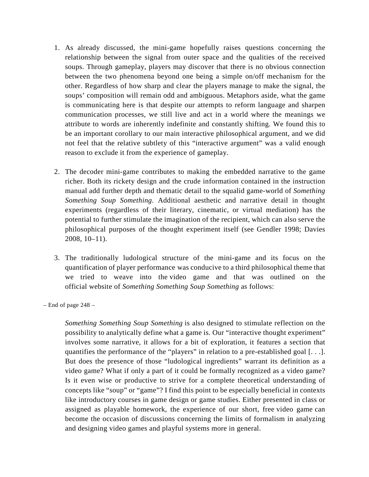- 1. As already discussed, the mini-game hopefully raises questions concerning the relationship between the signal from outer space and the qualities of the received soups. Through gameplay, players may discover that there is no obvious connection between the two phenomena beyond one being a simple on/off mechanism for the other. Regardless of how sharp and clear the players manage to make the signal, the soups' composition will remain odd and ambiguous. Metaphors aside, what the game is communicating here is that despite our attempts to reform language and sharpen communication processes, we still live and act in a world where the meanings we attribute to words are inherently indefinite and constantly shifting. We found this to be an important corollary to our main interactive philosophical argument, and we did not feel that the relative subtlety of this "interactive argument" was a valid enough reason to exclude it from the experience of gameplay.
- 2. The decoder mini-game contributes to making the embedded narrative to the game richer. Both its rickety design and the crude information contained in the instruction manual add further depth and thematic detail to the squalid game-world of *Something Something Soup Something*. Additional aesthetic and narrative detail in thought experiments (regardless of their literary, cinematic, or virtual mediation) has the potential to further stimulate the imagination of the recipient, which can also serve the philosophical purposes of the thought experiment itself (see Gendler 1998; Davies 2008, 10–11).
- 3. The traditionally ludological structure of the mini-game and its focus on the quantification of player performance was conducive to a third philosophical theme that we tried to weave into the video game and that was outlined on the official website of *Something Something Soup Something* as follows:
- End of page 248 –

*Something Something Soup Something* is also designed to stimulate reflection on the possibility to analytically define what a game is. Our "interactive thought experiment" involves some narrative, it allows for a bit of exploration, it features a section that quantifies the performance of the "players" in relation to a pre-established goal [...]. But does the presence of those "ludological ingredients" warrant its definition as a video game? What if only a part of it could be formally recognized as a video game? Is it even wise or productive to strive for a complete theoretical understanding of concepts like "soup" or "game"? I find this point to be especially beneficial in contexts like introductory courses in game design or game studies. Either presented in class or assigned as playable homework, the experience of our short, free video game can become the occasion of discussions concerning the limits of formalism in analyzing and designing video games and playful systems more in general.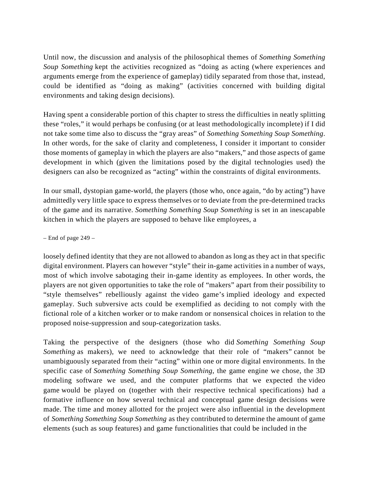Until now, the discussion and analysis of the philosophical themes of *Something Something Soup Something* kept the activities recognized as "doing as acting (where experiences and arguments emerge from the experience of gameplay) tidily separated from those that, instead, could be identified as "doing as making" (activities concerned with building digital environments and taking design decisions).

Having spent a considerable portion of this chapter to stress the difficulties in neatly splitting these "roles," it would perhaps be confusing (or at least methodologically incomplete) if I did not take some time also to discuss the "gray areas" of *Something Something Soup Something*. In other words, for the sake of clarity and completeness, I consider it important to consider those moments of gameplay in which the players are also "makers," and those aspects of game development in which (given the limitations posed by the digital technologies used) the designers can also be recognized as "acting" within the constraints of digital environments.

In our small, dystopian game-world, the players (those who, once again, "do by acting") have admittedly very little space to express themselves or to deviate from the pre-determined tracks of the game and its narrative. *Something Something Soup Something* is set in an inescapable kitchen in which the players are supposed to behave like employees, a

– End of page 249 –

loosely defined identity that they are not allowed to abandon as long as they act in that specific digital environment. Players can however "style" their in-game activities in a number of ways, most of which involve sabotaging their in-game identity as employees. In other words, the players are not given opportunities to take the role of "makers" apart from their possibility to "style themselves" rebelliously against the video game's implied ideology and expected gameplay. Such subversive acts could be exemplified as deciding to not comply with the fictional role of a kitchen worker or to make random or nonsensical choices in relation to the proposed noise-suppression and soup-categorization tasks.

Taking the perspective of the designers (those who did *Something Something Soup Something* as makers), we need to acknowledge that their role of "makers" cannot be unambiguously separated from their "acting" within one or more digital environments. In the specific case of *Something Something Soup Something*, the game engine we chose, the 3D modeling software we used, and the computer platforms that we expected the video game would be played on (together with their respective technical specifications) had a formative influence on how several technical and conceptual game design decisions were made. The time and money allotted for the project were also influential in the development of *Something Something Soup Something* as they contributed to determine the amount of game elements (such as soup features) and game functionalities that could be included in the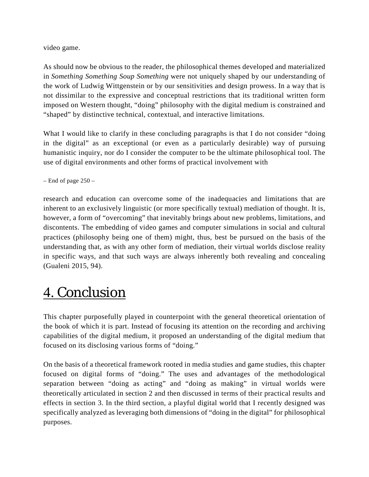video game.

As should now be obvious to the reader, the philosophical themes developed and materialized in *Something Something Soup Something* were not uniquely shaped by our understanding of the work of Ludwig Wittgenstein or by our sensitivities and design prowess. In a way that is not dissimilar to the expressive and conceptual restrictions that its traditional written form imposed on Western thought, "doing" philosophy with the digital medium is constrained and "shaped" by distinctive technical, contextual, and interactive limitations.

What I would like to clarify in these concluding paragraphs is that I do not consider "doing" in the digital" as an exceptional (or even as a particularly desirable) way of pursuing humanistic inquiry, nor do I consider the computer to be the ultimate philosophical tool. The use of digital environments and other forms of practical involvement with

– End of page 250 –

research and education can overcome some of the inadequacies and limitations that are inherent to an exclusively linguistic (or more specifically textual) mediation of thought. It is, however, a form of "overcoming" that inevitably brings about new problems, limitations, and discontents. The embedding of video games and computer simulations in social and cultural practices (philosophy being one of them) might, thus, best be pursued on the basis of the understanding that, as with any other form of mediation, their virtual worlds disclose reality in specific ways, and that such ways are always inherently both revealing and concealing (Gualeni 2015, 94).

### 4. Conclusion

This chapter purposefully played in counterpoint with the general theoretical orientation of the book of which it is part. Instead of focusing its attention on the recording and archiving capabilities of the digital medium, it proposed an understanding of the digital medium that focused on its disclosing various forms of "doing."

On the basis of a theoretical framework rooted in media studies and game studies, this chapter focused on digital forms of "doing." The uses and advantages of the methodological separation between "doing as acting" and "doing as making" in virtual worlds were theoretically articulated in section 2 and then discussed in terms of their practical results and effects in section 3. In the third section, a playful digital world that I recently designed was specifically analyzed as leveraging both dimensions of "doing in the digital" for philosophical purposes.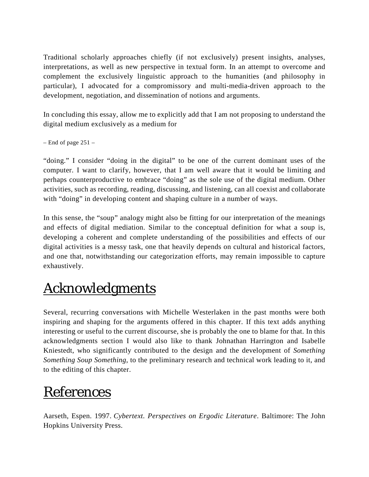Traditional scholarly approaches chiefly (if not exclusively) present insights, analyses, interpretations, as well as new perspective in textual form. In an attempt to overcome and complement the exclusively linguistic approach to the humanities (and philosophy in particular), I advocated for a compromissory and multi-media-driven approach to the development, negotiation, and dissemination of notions and arguments.

In concluding this essay, allow me to explicitly add that I am not proposing to understand the digital medium exclusively as a medium for

– End of page 251 –

"doing." I consider "doing in the digital" to be one of the current dominant uses of the computer. I want to clarify, however, that I am well aware that it would be limiting and perhaps counterproductive to embrace "doing" as the sole use of the digital medium. Other activities, such as recording, reading, discussing, and listening, can all coexist and collaborate with "doing" in developing content and shaping culture in a number of ways.

In this sense, the "soup" analogy might also be fitting for our interpretation of the meanings and effects of digital mediation. Similar to the conceptual definition for what a soup is, developing a coherent and complete understanding of the possibilities and effects of our digital activities is a messy task, one that heavily depends on cultural and historical factors, and one that, notwithstanding our categorization efforts, may remain impossible to capture exhaustively.

### Acknowledgments

Several, recurring conversations with Michelle Westerlaken in the past months were both inspiring and shaping for the arguments offered in this chapter. If this text adds anything interesting or useful to the current discourse, she is probably the one to blame for that. In this acknowledgments section I would also like to thank Johnathan Harrington and Isabelle Kniestedt, who significantly contributed to the design and the development of *Something Something Soup Something*, to the preliminary research and technical work leading to it, and to the editing of this chapter.

### References

Aarseth, Espen. 1997. *Cybertext. Perspectives on Ergodic Literature*. Baltimore: The John Hopkins University Press.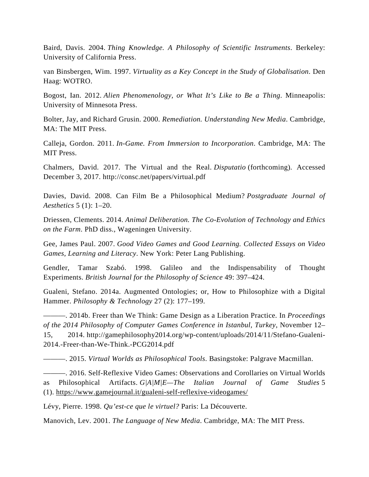Baird, Davis. 2004. *Thing Knowledge. A Philosophy of Scientific Instruments*. Berkeley: University of California Press.

van Binsbergen, Wim. 1997. *Virtuality as a Key Concept in the Study of Globalisation*. Den Haag: WOTRO.

Bogost, Ian. 2012. *Alien Phenomenology, or What It's Like to Be a Thing*. Minneapolis: University of Minnesota Press.

Bolter, Jay, and Richard Grusin. 2000. *Remediation. Understanding New Media*. Cambridge, MA: The MIT Press.

Calleja, Gordon. 2011. *In-Game. From Immersion to Incorporation*. Cambridge, MA: The MIT Press.

Chalmers, David. 2017. The Virtual and the Real. *Disputatio* (forthcoming). Accessed December 3, 2017. http://consc.net/papers/virtual.pdf

Davies, David. 2008. Can Film Be a Philosophical Medium? *Postgraduate Journal of Aesthetics* 5 (1): 1–20.

Driessen, Clements. 2014. *Animal Deliberation. The Co-Evolution of Technology and Ethics on the Farm*. PhD diss., Wageningen University.

Gee, James Paul. 2007. *Good Video Games and Good Learning. Collected Essays on Video Games, Learning and Literacy*. New York: Peter Lang Publishing.

Gendler, Tamar Szabó. 1998. Galileo and the Indispensability of Thought Experiments. *British Journal for the Philosophy of Science* 49: 397–424.

Gualeni, Stefano. 2014a. Augmented Ontologies; or, How to Philosophize with a Digital Hammer. *Philosophy & Technology* 27 (2): 177–199.

———. 2014b. Freer than We Think: Game Design as a Liberation Practice. In *Proceedings of the 2014 Philosophy of Computer Games Conference in Istanbul, Turkey*, November 12– 15, 2014. http://gamephilosophy2014.org/wp-content/uploads/2014/11/Stefano-Gualeni-2014.-Freer-than-We-Think.-PCG2014.pdf

———. 2015. *Virtual Worlds as Philosophical Tools*. Basingstoke: Palgrave Macmillan.

———. 2016. Self-Reflexive Video Games: Observations and Corollaries on Virtual Worlds as Philosophical Artifacts. *G|A|M|E—The Italian Journal of Game Studies* 5 (1). <https://www.gamejournal.it/gualeni-self-reflexive-videogames/>

Lévy, Pierre. 1998. *Qu'est-ce que le virtuel?* Paris: La Découverte.

Manovich, Lev. 2001. *The Language of New Media*. Cambridge, MA: The MIT Press.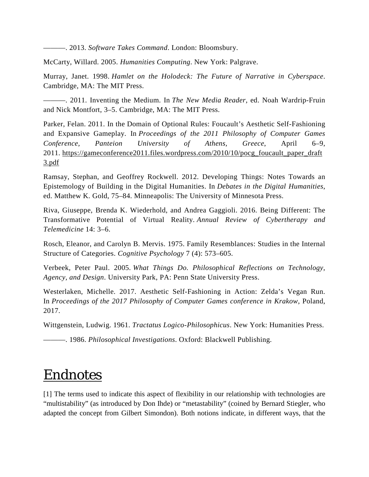———. 2013. *Software Takes Command*. London: Bloomsbury.

McCarty, Willard. 2005. *Humanities Computing*. New York: Palgrave.

Murray, Janet. 1998. *Hamlet on the Holodeck: The Future of Narrative in Cyberspace*. Cambridge, MA: The MIT Press.

———. 2011. Inventing the Medium. In *The New Media Reader*, ed. Noah Wardrip-Fruin and Nick Montfort, 3–5. Cambridge, MA: The MIT Press.

Parker, Felan. 2011. In the Domain of Optional Rules: Foucault's Aesthetic Self-Fashioning and Expansive Gameplay. In *Proceedings of the 2011 Philosophy of Computer Games Conference, Panteion University of Athens, Greece*, April 6–9, 2011. [https://gameconference2011.files.wordpress.com/2010/10/pocg\\_foucault\\_paper\\_draft](https://gameconference2011.files.wordpress.com/2010/10/pocg_foucault_paper_draft3.pdf) [3.pdf](https://gameconference2011.files.wordpress.com/2010/10/pocg_foucault_paper_draft3.pdf)

Ramsay, Stephan, and Geoffrey Rockwell. 2012. Developing Things: Notes Towards an Epistemology of Building in the Digital Humanities. In *Debates in the Digital Humanities*, ed. Matthew K. Gold, 75–84. Minneapolis: The University of Minnesota Press.

Riva, Giuseppe, Brenda K. Wiederhold, and Andrea Gaggioli. 2016. Being Different: The Transformative Potential of Virtual Reality. *Annual Review of Cybertherapy and Telemedicine* 14: 3–6.

Rosch, Eleanor, and Carolyn B. Mervis. 1975. Family Resemblances: Studies in the Internal Structure of Categories. *Cognitive Psychology* 7 (4): 573–605.

Verbeek, Peter Paul. 2005. *What Things Do. Philosophical Reflections on Technology, Agency, and Design*. University Park, PA: Penn State University Press.

Westerlaken, Michelle. 2017. Aesthetic Self-Fashioning in Action: Zelda's Vegan Run. In *Proceedings of the 2017 Philosophy of Computer Games conference in Krakow*, Poland, 2017.

Wittgenstein, Ludwig. 1961. *Tractatus Logico-Philosophicus*. New York: Humanities Press.

———. 1986. *Philosophical Investigations*. Oxford: Blackwell Publishing.

#### **Endnotes**

[1] The terms used to indicate this aspect of flexibility in our relationship with technologies are "multistability" (as introduced by Don Ihde) or "metastability" (coined by Bernard Stiegler, who adapted the concept from Gilbert Simondon). Both notions indicate, in different ways, that the